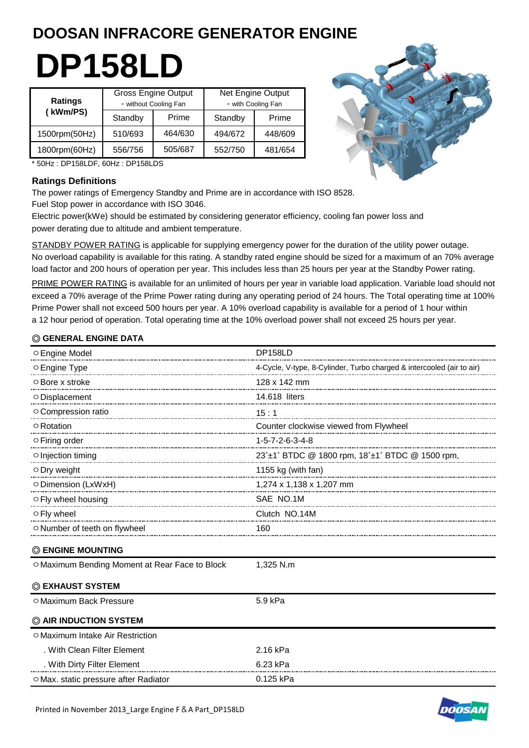# **DOOSAN INFRACORE GENERATOR ENGINE**

# **DP158LD**

| <b>Ratings</b> | <b>Gross Engine Output</b><br>- without Cooling Fan |         | <b>Net Engine Output</b><br>- with Cooling Fan |         |  |
|----------------|-----------------------------------------------------|---------|------------------------------------------------|---------|--|
| (kWm/PS)       | Standby                                             | Prime   | Standby                                        | Prime   |  |
| 1500rpm(50Hz)  | 510/693                                             | 464/630 | 494/672                                        | 448/609 |  |
| 1800rpm(60Hz)  | 556/756                                             | 505/687 | 552/750                                        | 481/654 |  |



\* 50Hz : DP158LDF, 60Hz : DP158LDS

# **Ratings Definitions**

The power ratings of Emergency Standby and Prime are in accordance with ISO 8528. Fuel Stop power in accordance with ISO 3046.

Electric power(kWe) should be estimated by considering generator efficiency, cooling fan power loss and power derating due to altitude and ambient temperature.

STANDBY POWER RATING is applicable for supplying emergency power for the duration of the utility power outage. No overload capability is available for this rating. A standby rated engine should be sized for a maximum of an 70% average load factor and 200 hours of operation per year. This includes less than 25 hours per year at the Standby Power rating.

PRIME POWER RATING is available for an unlimited of hours per year in variable load application. Variable load should not exceed a 70% average of the Prime Power rating during any operating period of 24 hours. The Total operating time at 100% Prime Power shall not exceed 500 hours per year. A 10% overload capability is available for a period of 1 hour within a 12 hour period of operation. Total operating time at the 10% overload power shall not exceed 25 hours per year.

# ◎ **GENERAL ENGINE DATA**

| ○ Engine Model                                                      | <b>DP158LD</b>                         |
|---------------------------------------------------------------------|----------------------------------------|
| O Engine Type                                                       |                                        |
| $\circ$ Bore x stroke                                               | 128 x 142 mm                           |
| O Displacement                                                      | 14.618 liters                          |
| O Compression ratio                                                 |                                        |
| $\circ$ Rotation                                                    | Counter clockwise viewed from Flywheel |
| $\circ$ Firing order                                                | 1-5-7-2-6-3-4-8                        |
| o Injection timing                                                  |                                        |
| O Dry weight                                                        | 1155 kg (with fan)                     |
| $1,274 \times 1,138 \times 1,207 \text{ mm}$<br>O Dimension (LxWxH) |                                        |
| ○ Fly wheel housing                                                 | SAE NO.1M                              |
| ○ Fly wheel                                                         | Clutch NO.14M                          |
| O Number of teeth on flywheel                                       | 160                                    |
| <b>© ENGINE MOUNTING</b>                                            |                                        |
| O Maximum Bending Moment at Rear Face to Block                      | 1,325 N.m                              |
| © EXHAUST SYSTEM                                                    |                                        |
| O Maximum Back Pressure                                             | 5.9 kPa                                |
| C AIR INDUCTION SYSTEM                                              |                                        |
| O Maximum Intake Air Restriction                                    |                                        |
| . With Clean Filter Element                                         | 2.16 kPa                               |
| . With Dirty Filter Element                                         | 6.23 kPa                               |
| O Max. static pressure after Radiator                               | 0.125 kPa                              |

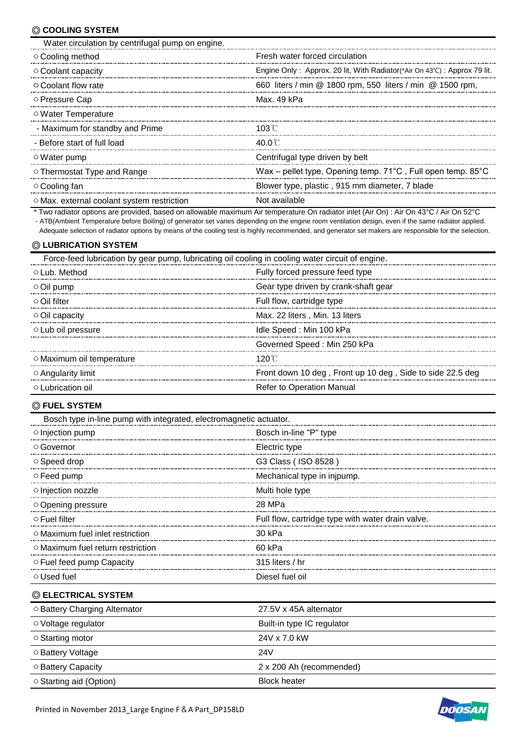# ◎ **COOLING SYSTEM**

| Water circulation by centrifugal pump on engine. |                                                                                     |
|--------------------------------------------------|-------------------------------------------------------------------------------------|
| ○ Cooling method                                 | Fresh water forced circulation                                                      |
| ○ Coolant capacity                               | Engine Only: Approx. 20 lit, With Radiator (*Air On $43^{\circ}$ C): Approx 79 lit. |
| $\circ$ Coolant flow rate                        | 660 liters / min @ 1800 rpm, 550 liters / min @ 1500 rpm,                           |
| ◯ Pressure Cap                                   | Max. 49 kPa                                                                         |
| ○ Water Temperature                              |                                                                                     |
| - Maximum for standby and Prime                  | 103 $\degree$ C                                                                     |
| - Before start of full load                      | 40 O C                                                                              |
| ○ Water pump                                     | Centrifugal type driven by belt                                                     |
| $\circ$ Thermostat Type and Range                | Wax – pellet type, Opening temp. 71°C, Full open temp. 85°C                         |
| ○ Cooling fan                                    | Blower type, plastic, 915 mm diameter, 7 blade                                      |
| O Max. external coolant system restriction       | Not available                                                                       |

 \* Two radiator options are provided, based on allowable maximum Air temperature On radiator inlet (Air On) : Air On 43°C / Air On 52°C - ATB(Ambient Temperature before Boiling) of generator set varies depending on the engine room ventilation design, even if the same radiator applied. Adequate selection of radiator options by means of the cooling test is highly recommended, and generator set makers are responsible for the selection.

## ◎ **LUBRICATION SYSTEM**

| Force-feed lubrication by gear pump, lubricating oil cooling in cooling water circuit of engine. |                                                           |  |  |  |
|--------------------------------------------------------------------------------------------------|-----------------------------------------------------------|--|--|--|
| ○ Lub. Method                                                                                    | Fully forced pressure feed type                           |  |  |  |
| $\circ$ Oil pump                                                                                 | Gear type driven by crank-shaft gear                      |  |  |  |
| ⊙ Oil filter                                                                                     | Full flow, cartridge type                                 |  |  |  |
| $\circ$ Oil capacity                                                                             | Max. 22 liters, Min. 13 liters                            |  |  |  |
| $\circ$ Lub oil pressure                                                                         | Idle Speed: Min 100 kPa                                   |  |  |  |
|                                                                                                  | Governed Speed: Min 250 kPa                               |  |  |  |
| ○ Maximum oil temperature                                                                        | 120℃                                                      |  |  |  |
| $\circ$ Angularity limit                                                                         | Front down 10 deg, Front up 10 deg, Side to side 22.5 deg |  |  |  |
| ○ Lubrication oil                                                                                | <b>Refer to Operation Manual</b>                          |  |  |  |

#### ◎ **FUEL SYSTEM**

| Bosch type in-line pump with integrated, electromagnetic actuator. |                                                   |
|--------------------------------------------------------------------|---------------------------------------------------|
| $\circ$ Injection pump                                             | Bosch in-line "P" type                            |
| ○ Governor                                                         | Electric type                                     |
| $\circ$ Speed drop                                                 | G3 Class (ISO 8528)                               |
| $\circ$ Feed pump                                                  | Mechanical type in injpump.                       |
| $\circ$ Injection nozzle                                           | Multi hole type                                   |
| ○ Opening pressure                                                 | 28 MPa                                            |
| ○ Fuel filter                                                      | Full flow, cartridge type with water drain valve. |
| $\circ$ Maximum fuel inlet restriction                             | 30 kPa                                            |
| $\circ$ Maximum fuel return restriction                            | 60 kPa                                            |
| ○ Fuel feed pump Capacity                                          | 315 liters $/$ hr                                 |
| ○ Used fuel                                                        | Diesel fuel oil                                   |
| © ELECTRICAL SYSTEM                                                |                                                   |
| ○ Battery Charging Alternator                                      | 27.5V x 45A alternator                            |
| ○ Voltage regulator                                                | Built-in type IC regulator                        |
| ○ Starting motor                                                   | 24V x 7.0 kW                                      |



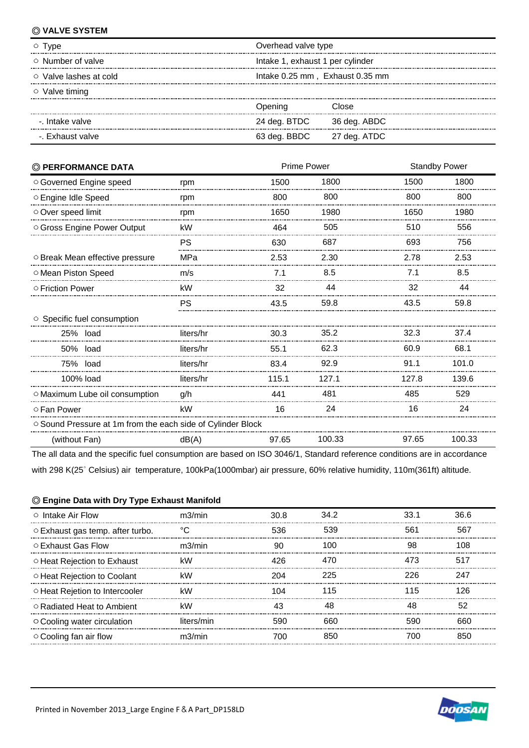# ◎ **VALVE SYSTEM**

| $\circ$ Type                 | Overhead valve type              |              |  |
|------------------------------|----------------------------------|--------------|--|
| $\circ$ Number of valve      | Intake 1, exhaust 1 per cylinder |              |  |
| $\circ$ Valve lashes at cold | Intake 0.25 mm, Exhaust 0.35 mm  |              |  |
| $\circ$ Valve timing         |                                  |              |  |
|                              | Jpening                          | Close:       |  |
| -. Intake valve              | 24 deg. BTDC                     | 36 deg. ABDC |  |
| -. Exhaust valve             | 63 deg. BBDC                     | 27 deg. ATDC |  |

| © PERFORMANCE DATA                                          |           | <b>Prime Power</b><br><b>Standby Power</b> |        |       |        |
|-------------------------------------------------------------|-----------|--------------------------------------------|--------|-------|--------|
| O Governed Engine speed                                     | rpm       | 1500                                       | 1800   | 1500  | 1800   |
| ○ Engine Idle Speed                                         | rpm       | 800                                        | 800    | 800   | 800    |
| Over speed limit                                            | rpm       | 1650                                       | 1980   | 1650  | 1980   |
| O Gross Engine Power Output                                 | kW        | 464                                        | 505    | 510   | 556    |
|                                                             | PS        | 630                                        | 687    | 693   | 756    |
| O Break Mean effective pressure                             | MPa       | 2.53                                       | 2.30   | 2.78  | 2.53   |
| O Mean Piston Speed                                         | m/s       | 7.1                                        | 8.5    | 7.1   | 8.5    |
| ○ Friction Power                                            | kW        | 32                                         | 44     | 32    | 44     |
|                                                             | PS        | 43.5                                       | 59.8   | 43.5  | 59.8   |
| ○ Specific fuel consumption                                 |           |                                            |        |       |        |
| 25% load                                                    | liters/hr | 30.3                                       | 35.2   | 32.3  | 37.4   |
| 50% load                                                    | liters/hr | 55.1                                       | 62.3   | 60.9  | 68.1   |
| 75% load                                                    | liters/hr | 83.4                                       | 92.9   | 91.1  | 101.0  |
| 100% load                                                   | liters/hr | 115.1                                      | 127.1  | 127.8 | 139.6  |
| O Maximum Lube oil consumption                              | g/h       | 441                                        | 481    | 485   | 529    |
| ○ Fan Power                                                 | kW        | 16                                         | 24     | 16    | 24     |
| ○ Sound Pressure at 1m from the each side of Cylinder Block |           |                                            |        |       |        |
| (without Fan)                                               | dB(A)     | 97.65                                      | 100.33 | 97.65 | 100.33 |

with 298 K(25˚ Celsius) air temperature, 100kPa(1000mbar) air pressure, 60% relative humidity, 110m(361ft) altitude. The all data and the specific fuel consumption are based on ISO 3046/1, Standard reference conditions are in accordance

### ◎ **Engine Data with Dry Type Exhaust Manifold**

| $\circ$ Intake Air Flow           | $m3/m$ in  | 30.8 | 34.2 | 33.1 | 36 R |
|-----------------------------------|------------|------|------|------|------|
| ○ Exhaust gas temp. after turbo.  |            | 536  | 539  | 561  | 567  |
| ○ Exhaust Gas Flow                | m3/min     | ٩ſ   | 100  | 98   | 108  |
| O Heat Rejection to Exhaust       | kW         | 426  | 470  | 473  | 517  |
| O Heat Rejection to Coolant       | kW         | 204  | 225  | 226  | 247  |
| ○ Heat Rejetion to Intercooler    | kW         | 104  | 115  | 115  | 126  |
| ○ Radiated Heat to Ambient        | kW         |      |      | 48   | 52   |
| $\circ$ Cooling water circulation | liters/min | 590  | 660  | 590  | 660  |
| $\circ$ Cooling fan air flow      | m?/min     | 7በበ  | 850  | 7በበ  |      |